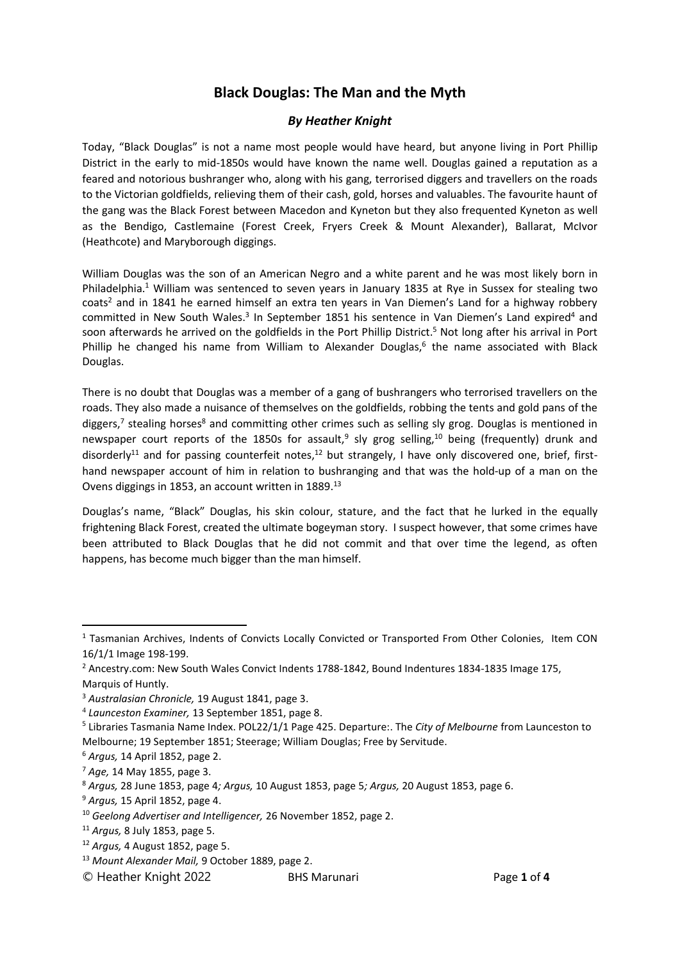# **Black Douglas: The Man and the Myth**

## *By Heather Knight*

Today, "Black Douglas" is not a name most people would have heard, but anyone living in Port Phillip District in the early to mid-1850s would have known the name well. Douglas gained a reputation as a feared and notorious bushranger who, along with his gang, terrorised diggers and travellers on the roads to the Victorian goldfields, relieving them of their cash, gold, horses and valuables. The favourite haunt of the gang was the Black Forest between Macedon and Kyneton but they also frequented Kyneton as well as the Bendigo, Castlemaine (Forest Creek, Fryers Creek & Mount Alexander), Ballarat, McIvor (Heathcote) and Maryborough diggings.

William Douglas was the son of an American Negro and a white parent and he was most likely born in Philadelphia.<sup>1</sup> William was sentenced to seven years in January 1835 at Rye in Sussex for stealing two coats<sup>2</sup> and in 1841 he earned himself an extra ten years in Van Diemen's Land for a highway robbery committed in New South Wales.<sup>3</sup> In September 1851 his sentence in Van Diemen's Land expired<sup>4</sup> and soon afterwards he arrived on the goldfields in the Port Phillip District. <sup>5</sup> Not long after his arrival in Port Phillip he changed his name from William to Alexander Douglas,<sup>6</sup> the name associated with Black Douglas.

There is no doubt that Douglas was a member of a gang of bushrangers who terrorised travellers on the roads. They also made a nuisance of themselves on the goldfields, robbing the tents and gold pans of the diggers,<sup>7</sup> stealing horses<sup>8</sup> and committing other crimes such as selling sly grog. Douglas is mentioned in newspaper court reports of the 1850s for assault,<sup>9</sup> sly grog selling,<sup>10</sup> being (frequently) drunk and disorderly<sup>11</sup> and for passing counterfeit notes,<sup>12</sup> but strangely, I have only discovered one, brief, firsthand newspaper account of him in relation to bushranging and that was the hold-up of a man on the Ovens diggings in 1853, an account written in 1889.<sup>13</sup>

Douglas's name, "Black" Douglas, his skin colour, stature, and the fact that he lurked in the equally frightening Black Forest, created the ultimate bogeyman story. I suspect however, that some crimes have been attributed to Black Douglas that he did not commit and that over time the legend, as often happens, has become much bigger than the man himself.

<sup>1</sup> Tasmanian Archives, Indents of Convicts Locally Convicted or Transported From Other Colonies, Item CON 16/1/1 Image 198-199.

<sup>&</sup>lt;sup>2</sup> Ancestry.com: New South Wales Convict Indents 1788-1842, Bound Indentures 1834-1835 Image 175, Marquis of Huntly.

<sup>3</sup> *Australasian Chronicle,* 19 August 1841, page 3.

<sup>4</sup> *Launceston Examiner,* 13 September 1851, page 8.

<sup>5</sup> Libraries Tasmania Name Index. POL22/1/1 Page 425. Departure:. The *City of Melbourne* from Launceston to Melbourne; 19 September 1851; Steerage; William Douglas; Free by Servitude.

<sup>6</sup> *Argus,* 14 April 1852, page 2.

<sup>7</sup> *Age,* 14 May 1855, page 3.

<sup>8</sup> *Argus,* 28 June 1853, page 4*; Argus,* 10 August 1853, page 5*; Argus,* 20 August 1853, page 6.

<sup>9</sup> *Argus,* 15 April 1852, page 4.

<sup>10</sup> *Geelong Advertiser and Intelligencer,* 26 November 1852, page 2.

<sup>11</sup> *Argus,* 8 July 1853, page 5.

<sup>12</sup> *Argus,* 4 August 1852, page 5.

<sup>13</sup> *Mount Alexander Mail,* 9 October 1889, page 2.

<sup>©</sup> Heather Knight 2022 BHS Marunari Page **1** of **4**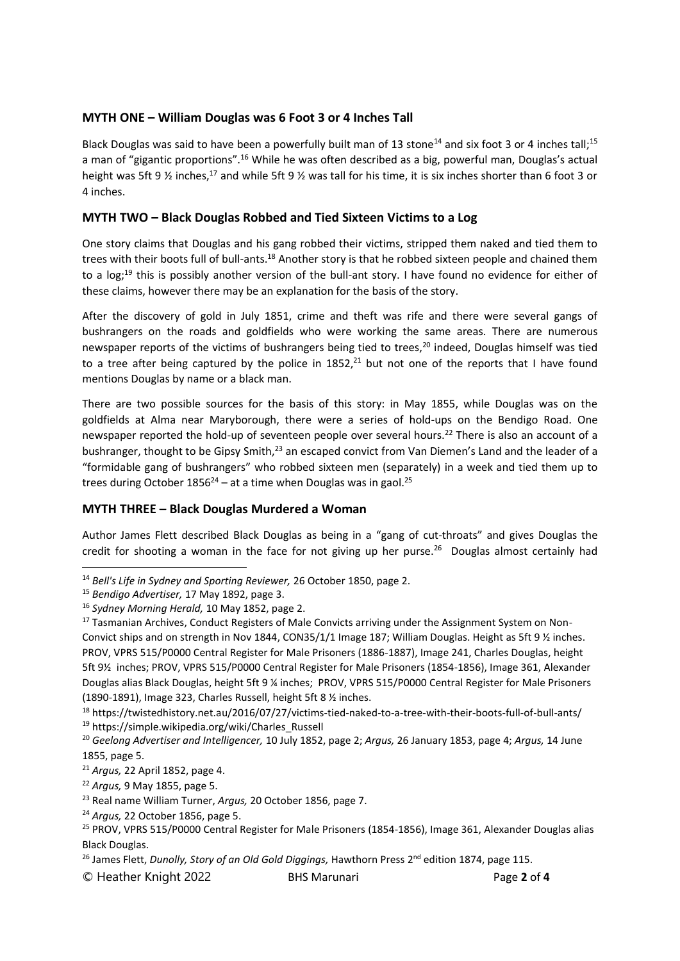### **MYTH ONE – William Douglas was 6 Foot 3 or 4 Inches Tall**

Black Douglas was said to have been a powerfully built man of 13 stone<sup>14</sup> and six foot 3 or 4 inches tall:<sup>15</sup> a man of "gigantic proportions".<sup>16</sup> While he was often described as a big, powerful man, Douglas's actual height was 5ft 9  $\frac{1}{2}$  inches,<sup>17</sup> and while 5ft 9  $\frac{1}{2}$  was tall for his time, it is six inches shorter than 6 foot 3 or 4 inches.

#### **MYTH TWO – Black Douglas Robbed and Tied Sixteen Victims to a Log**

One story claims that Douglas and his gang robbed their victims, stripped them naked and tied them to trees with their boots full of bull-ants.<sup>18</sup> Another story is that he robbed sixteen people and chained them to a log;<sup>19</sup> this is possibly another version of the bull-ant story. I have found no evidence for either of these claims, however there may be an explanation for the basis of the story.

After the discovery of gold in July 1851, crime and theft was rife and there were several gangs of bushrangers on the roads and goldfields who were working the same areas. There are numerous newspaper reports of the victims of bushrangers being tied to trees,<sup>20</sup> indeed, Douglas himself was tied to a tree after being captured by the police in  $1852<sup>21</sup>$  but not one of the reports that I have found mentions Douglas by name or a black man.

There are two possible sources for the basis of this story: in May 1855, while Douglas was on the goldfields at Alma near Maryborough, there were a series of hold-ups on the Bendigo Road. One newspaper reported the hold-up of seventeen people over several hours.<sup>22</sup> There is also an account of a bushranger, thought to be Gipsy Smith,<sup>23</sup> an escaped convict from Van Diemen's Land and the leader of a "formidable gang of bushrangers" who robbed sixteen men (separately) in a week and tied them up to trees during October  $1856^{24}$  – at a time when Douglas was in gaol.<sup>25</sup>

## **MYTH THREE – Black Douglas Murdered a Woman**

Author James Flett described Black Douglas as being in a "gang of cut-throats" and gives Douglas the credit for shooting a woman in the face for not giving up her purse.<sup>26</sup> Douglas almost certainly had

<sup>14</sup> *Bell's Life in Sydney and Sporting Reviewer,* 26 October 1850, page 2.

<sup>15</sup> *Bendigo Advertiser,* 17 May 1892, page 3.

<sup>16</sup> *Sydney Morning Herald,* 10 May 1852, page 2.

<sup>&</sup>lt;sup>17</sup> Tasmanian Archives, Conduct Registers of Male Convicts arriving under the Assignment System on Non-Convict ships and on strength in Nov 1844, CON35/1/1 Image 187; William Douglas. Height as 5ft 9 ½ inches. PROV, VPRS 515/P0000 Central Register for Male Prisoners (1886-1887), Image 241, Charles Douglas, height 5ft 9½ inches; PROV, VPRS 515/P0000 Central Register for Male Prisoners (1854-1856), Image 361, Alexander Douglas alias Black Douglas, height 5ft 9 ¼ inches; PROV, VPRS 515/P0000 Central Register for Male Prisoners (1890-1891), Image 323, Charles Russell, height 5ft 8 ½ inches.

<sup>18</sup> <https://twistedhistory.net.au/2016/07/27/victims-tied-naked-to-a-tree-with-their-boots-full-of-bull-ants/> <sup>19</sup> [https://simple.wikipedia.org/wiki/Charles\\_Russell](https://simple.wikipedia.org/wiki/Charles_Russell)

<sup>20</sup> *Geelong Advertiser and Intelligencer,* 10 July 1852, page 2; *Argus,* 26 January 1853, page 4; *Argus,* 14 June 1855, page 5.

<sup>21</sup> *Argus,* 22 April 1852, page 4.

<sup>22</sup> *Argus,* 9 May 1855, page 5.

<sup>23</sup> Real name William Turner, *Argus,* 20 October 1856, page 7.

<sup>24</sup> *Argus,* 22 October 1856, page 5.

<sup>&</sup>lt;sup>25</sup> PROV, VPRS 515/P0000 Central Register for Male Prisoners (1854-1856), Image 361, Alexander Douglas alias Black Douglas.

<sup>&</sup>lt;sup>26</sup> James Flett, *Dunolly, Story of an Old Gold Diggings,* Hawthorn Press 2<sup>nd</sup> edition 1874, page 115.

<sup>©</sup> Heather Knight 2022 BHS Marunari Page **2** of **4**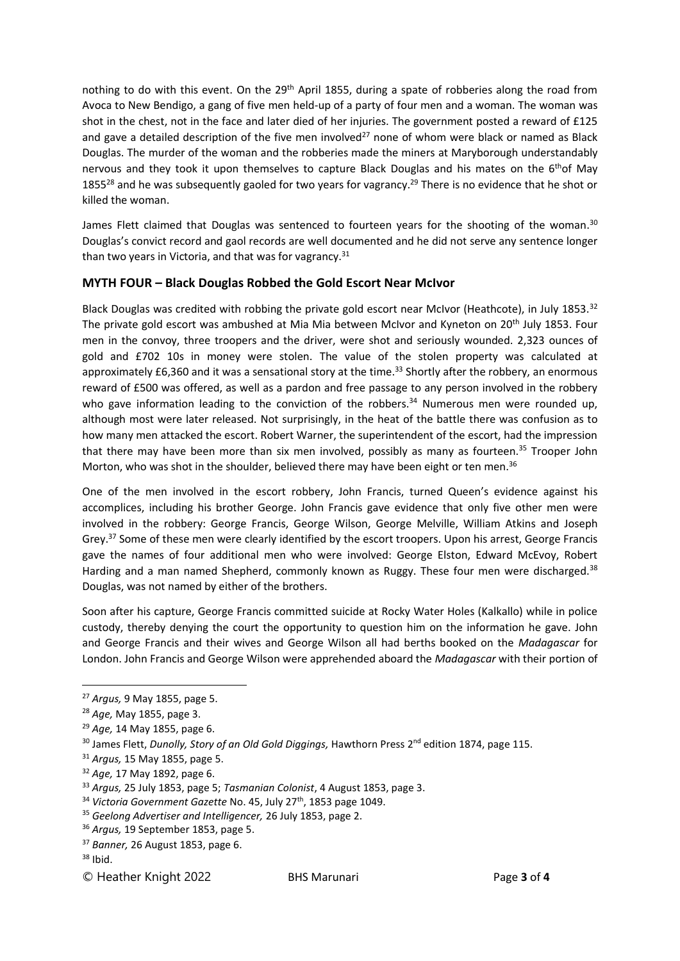nothing to do with this event. On the 29<sup>th</sup> April 1855, during a spate of robberies along the road from Avoca to New Bendigo, a gang of five men held-up of a party of four men and a woman. The woman was shot in the chest, not in the face and later died of her injuries. The government posted a reward of £125 and gave a detailed description of the five men involved<sup>27</sup> none of whom were black or named as Black Douglas. The murder of the woman and the robberies made the miners at Maryborough understandably nervous and they took it upon themselves to capture Black Douglas and his mates on the 6<sup>th</sup>of May 1855<sup>28</sup> and he was subsequently gaoled for two years for vagrancy.<sup>29</sup> There is no evidence that he shot or killed the woman.

James Flett claimed that Douglas was sentenced to fourteen years for the shooting of the woman.<sup>30</sup> Douglas's convict record and gaol records are well documented and he did not serve any sentence longer than two years in Victoria, and that was for vagrancy. $31$ 

## **MYTH FOUR – Black Douglas Robbed the Gold Escort Near McIvor**

Black Douglas was credited with robbing the private gold escort near McIvor (Heathcote), in July 1853.<sup>32</sup> The private gold escort was ambushed at Mia Mia between McIvor and Kyneton on 20<sup>th</sup> July 1853. Four men in the convoy, three troopers and the driver, were shot and seriously wounded. 2,323 ounces of gold and £702 10s in money were stolen. The value of the stolen property was calculated at approximately £6,360 and it was a sensational story at the time.<sup>33</sup> Shortly after the robbery, an enormous reward of £500 was offered, as well as a pardon and free passage to any person involved in the robbery who gave information leading to the conviction of the robbers.<sup>34</sup> Numerous men were rounded up, although most were later released. Not surprisingly, in the heat of the battle there was confusion as to how many men attacked the escort. Robert Warner, the superintendent of the escort, had the impression that there may have been more than six men involved, possibly as many as fourteen.<sup>35</sup> Trooper John Morton, who was shot in the shoulder, believed there may have been eight or ten men.<sup>36</sup>

One of the men involved in the escort robbery, John Francis, turned Queen's evidence against his accomplices, including his brother George. John Francis gave evidence that only five other men were involved in the robbery: George Francis, George Wilson, George Melville, William Atkins and Joseph Grey. <sup>37</sup> Some of these men were clearly identified by the escort troopers. Upon his arrest, George Francis gave the names of four additional men who were involved: George Elston, Edward McEvoy, Robert Harding and a man named Shepherd, commonly known as Ruggy. These four men were discharged.<sup>38</sup> Douglas, was not named by either of the brothers.

Soon after his capture, George Francis committed suicide at Rocky Water Holes (Kalkallo) while in police custody, thereby denying the court the opportunity to question him on the information he gave. John and George Francis and their wives and George Wilson all had berths booked on the *Madagascar* for London. John Francis and George Wilson were apprehended aboard the *Madagascar* with their portion of

<sup>27</sup> *Argus,* 9 May 1855, page 5.

<sup>28</sup> *Age,* May 1855, page 3.

<sup>29</sup> *Age,* 14 May 1855, page 6.

<sup>&</sup>lt;sup>30</sup> James Flett, *Dunolly, Story of an Old Gold Diggings*, Hawthorn Press 2<sup>nd</sup> edition 1874, page 115.

<sup>31</sup> *Argus,* 15 May 1855, page 5.

<sup>32</sup> *Age,* 17 May 1892, page 6.

<sup>33</sup> *Argus,* 25 July 1853, page 5; *Tasmanian Colonist*, 4 August 1853, page 3.

<sup>&</sup>lt;sup>34</sup> Victoria Government Gazette No. 45, July 27<sup>th</sup>, 1853 page 1049.

<sup>35</sup> *Geelong Advertiser and Intelligencer,* 26 July 1853, page 2.

<sup>36</sup> *Argus,* 19 September 1853, page 5.

<sup>37</sup> *Banner,* 26 August 1853, page 6.

 $38$  Ibid.

<sup>©</sup> Heather Knight 2022 BHS Marunari Page **3** of **4**